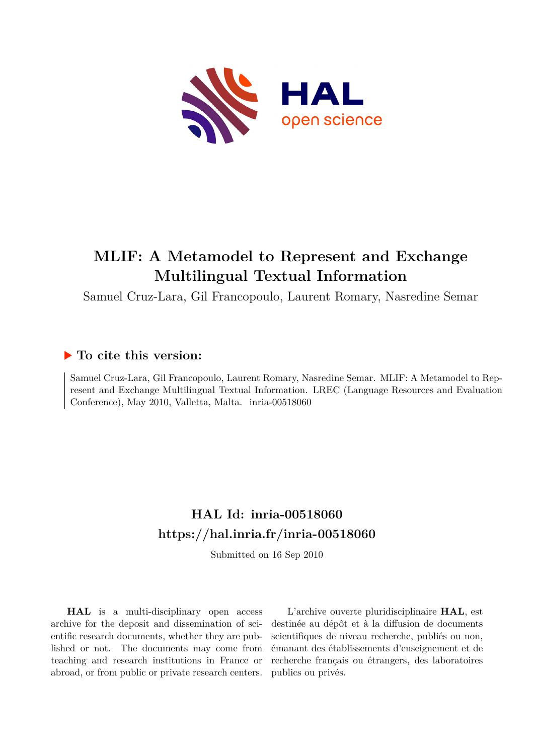

# **MLIF: A Metamodel to Represent and Exchange Multilingual Textual Information**

Samuel Cruz-Lara, Gil Francopoulo, Laurent Romary, Nasredine Semar

# **To cite this version:**

Samuel Cruz-Lara, Gil Francopoulo, Laurent Romary, Nasredine Semar. MLIF: A Metamodel to Represent and Exchange Multilingual Textual Information. LREC (Language Resources and Evaluation Conference), May 2010, Valletta, Malta. inria-00518060

# **HAL Id: inria-00518060 <https://hal.inria.fr/inria-00518060>**

Submitted on 16 Sep 2010

**HAL** is a multi-disciplinary open access archive for the deposit and dissemination of scientific research documents, whether they are published or not. The documents may come from teaching and research institutions in France or abroad, or from public or private research centers.

L'archive ouverte pluridisciplinaire **HAL**, est destinée au dépôt et à la diffusion de documents scientifiques de niveau recherche, publiés ou non, émanant des établissements d'enseignement et de recherche français ou étrangers, des laboratoires publics ou privés.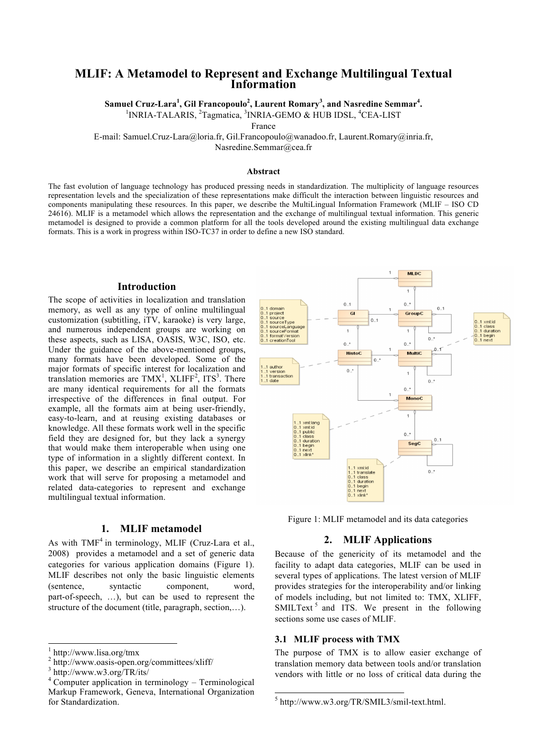# **MLIF: A Metamodel to Represent and Exchange Multilingual Textual Information**

**Samuel Cruz-Lara<sup>1</sup> , Gil Francopoulo<sup>2</sup> , Laurent Romary<sup>3</sup> , and Nasredine Semmar<sup>4</sup> .**

<sup>1</sup>INRIA-TALARIS, <sup>2</sup>Tagmatica, <sup>3</sup>INRIA-GEMO & HUB IDSL, <sup>4</sup>CEA-LIST

France

E-mail: Samuel.Cruz-Lara@loria.fr, Gil.Francopoulo@wanadoo.fr, Laurent.Romary@inria.fr,

Nasredine.Semmar@cea.fr

## **Abstract**

The fast evolution of language technology has produced pressing needs in standardization. The multiplicity of language resources representation levels and the specialization of these representations make difficult the interaction between linguistic resources and components manipulating these resources. In this paper, we describe the MultiLingual Information Framework (MLIF – ISO CD 24616). MLIF is a metamodel which allows the representation and the exchange of multilingual textual information. This generic metamodel is designed to provide a common platform for all the tools developed around the existing multilingual data exchange formats. This is a work in progress within ISO-TC37 in order to define a new ISO standard.

#### **Introduction**

The scope of activities in localization and translation memory, as well as any type of online multilingual customization (subtitling, iTV, karaoke) is very large, and numerous independent groups are working on these aspects, such as LISA, OASIS, W3C, ISO, etc. Under the guidance of the above-mentioned groups, many formats have been developed. Some of the major formats of specific interest for localization and translation memories are  $TMX^1$ ,  $XLIFF^2$ ,  $ITS^3$ . There are many identical requirements for all the formats irrespective of the differences in final output. For example, all the formats aim at being user-friendly, easy-to-learn, and at reusing existing databases or knowledge. All these formats work well in the specific field they are designed for, but they lack a synergy that would make them interoperable when using one type of information in a slightly different context. In this paper, we describe an empirical standardization work that will serve for proposing a metamodel and related data-categories to represent and exchange multilingual textual information.

## **1. MLIF metamodel**

As with  $TMF<sup>4</sup>$  in terminology, MLIF (Cruz-Lara et al., 2008) provides a metamodel and a set of generic data categories for various application domains (Figure 1). MLIF describes not only the basic linguistic elements (sentence, syntactic component, word, part-of-speech, …), but can be used to represent the structure of the document (title, paragraph, section,…).



Figure 1: MLIF metamodel and its data categories

# **2. MLIF Applications**

Because of the genericity of its metamodel and the facility to adapt data categories, MLIF can be used in several types of applications. The latest version of MLIF provides strategies for the interoperability and/or linking of models including, but not limited to: TMX, XLIFF, SMILText<sup>5</sup> and ITS. We present in the following sections some use cases of MLIF.

## **3.1 MLIF process with TMX**

The purpose of TMX is to allow easier exchange of translation memory data between tools and/or translation vendors with little or no loss of critical data during the

 <sup>1</sup> http://www.lisa.org/tmx

<sup>2</sup> http://www.oasis-open.org/committees/xliff/ <sup>3</sup> http://www.w3.org/TR/its/

 $4$  Computer application in terminology – Terminological Markup Framework, Geneva, International Organization for Standardization.

 <sup>5</sup> http://www.w3.org/TR/SMIL3/smil-text.html.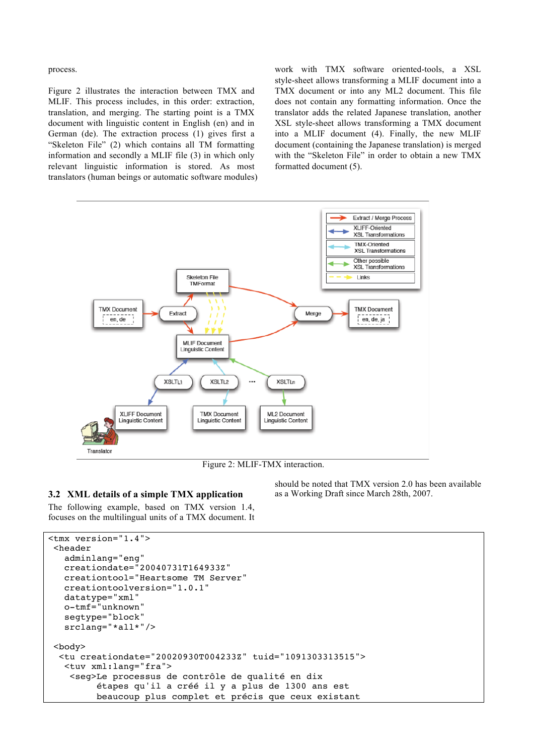process.

Figure 2 illustrates the interaction between TMX and MLIF. This process includes, in this order: extraction, translation, and merging. The starting point is a TMX document with linguistic content in English (en) and in German (de). The extraction process (1) gives first a "Skeleton File" (2) which contains all TM formatting information and secondly a MLIF file (3) in which only relevant linguistic information is stored. As most translators (human beings or automatic software modules)

work with TMX software oriented-tools, a XSL style-sheet allows transforming a MLIF document into a TMX document or into any ML2 document. This file does not contain any formatting information. Once the translator adds the related Japanese translation, another XSL style-sheet allows transforming a TMX document into a MLIF document (4). Finally, the new MLIF document (containing the Japanese translation) is merged with the "Skeleton File" in order to obtain a new TMX formatted document (5).



Figure 2: MLIF-TMX interaction.

## **3.2 XML details of a simple TMX application**

The following example, based on TMX version 1.4, focuses on the multilingual units of a TMX document. It

should be noted that TMX version 2.0 has been available as a Working Draft since March 28th, 2007.

```
<tmx version="1.4">
 <header
    adminlang="eng"
    creationdate="20040731T164933Z"
    creationtool="Heartsome TM Server"
    creationtoolversion="1.0.1"
   datatype="xml"
   o-tmf="unknown"
    segtype="block"
    srclang="*all*"/>
 <body>
  <tu creationdate="20020930T004233Z" tuid="1091303313515">
   <tuv xml:lang="fra">
     <seg>Le processus de contrôle de qualité en dix
          étapes qu'il a créé il y a plus de 1300 ans est
          beaucoup plus complet et précis que ceux existant
```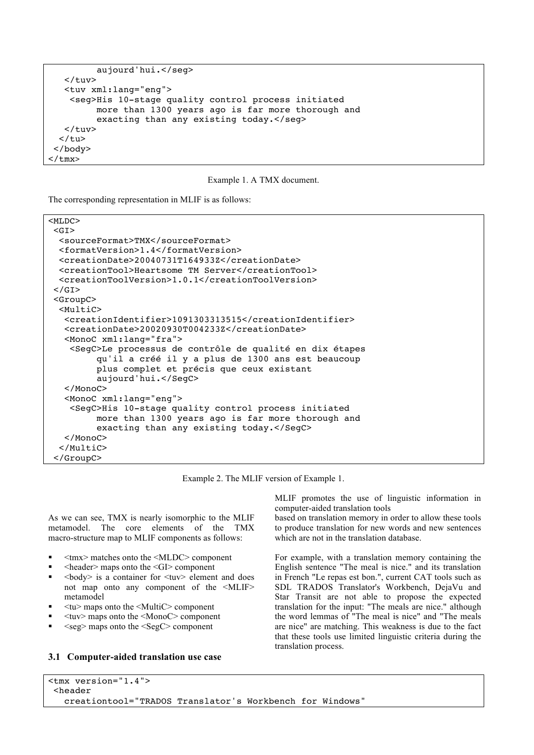```
 aujourd'hui.</seg>
    </tuv>
    <tuv xml:lang="eng">
     <seg>His 10-stage quality control process initiated
          more than 1300 years ago is far more thorough and
         exacting than any existing today.</seg>
    </tuv>
  \langle/tu>
 </body>
</tmx>
```


The corresponding representation in MLIF is as follows:

```
<MLDC>
<GT> <sourceFormat>TMX</sourceFormat>
  <formatVersion>1.4</formatVersion>
  <creationDate>20040731T164933Z</creationDate>
  <creationTool>Heartsome TM Server</creationTool>
  <creationToolVersion>1.0.1</creationToolVersion>
\langle/GT> <GroupC>
  <MultiC>
    <creationIdentifier>1091303313515</creationIdentifier>
    <creationDate>20020930T004233Z</creationDate>
    <MonoC xml:lang="fra">
     <SegC>Le processus de contrôle de qualité en dix étapes
          qu'il a créé il y a plus de 1300 ans est beaucoup
          plus complet et précis que ceux existant
          aujourd'hui.</SegC>
    </MonoC>
    <MonoC xml:lang="eng">
     <SegC>His 10-stage quality control process initiated
          more than 1300 years ago is far more thorough and
          exacting than any existing today.</SegC>
    </MonoC>
   </MultiC>
 </GroupC>
```
Example 2. The MLIF version of Example 1.

As we can see, TMX is nearly isomorphic to the MLIF metamodel. The core elements of the TMX macro-structure map to MLIF components as follows:

- <tmx> matches onto the <MLDC> component
- <header> maps onto the <GI> component
- <body> is a container for <tuv> element and does not map onto any component of the <MLIF> metamodel
- <tu> maps onto the <MultiC> component
- <tuv> maps onto the <MonoC> component
- $\langle$ seg $\rangle$  maps onto the  $\langle$ Seg $C$  $\rangle$  component

## **3.1 Computer-aided translation use case**

MLIF promotes the use of linguistic information in computer-aided translation tools

based on translation memory in order to allow these tools to produce translation for new words and new sentences which are not in the translation database.

For example, with a translation memory containing the English sentence "The meal is nice." and its translation in French "Le repas est bon.", current CAT tools such as SDL TRADOS Translator's Workbench, DejaVu and Star Transit are not able to propose the expected translation for the input: "The meals are nice." although the word lemmas of "The meal is nice" and "The meals are nice" are matching. This weakness is due to the fact that these tools use limited linguistic criteria during the translation process.

```
<tmx version="1.4">
 <header
   creationtool="TRADOS Translator's Workbench for Windows"
```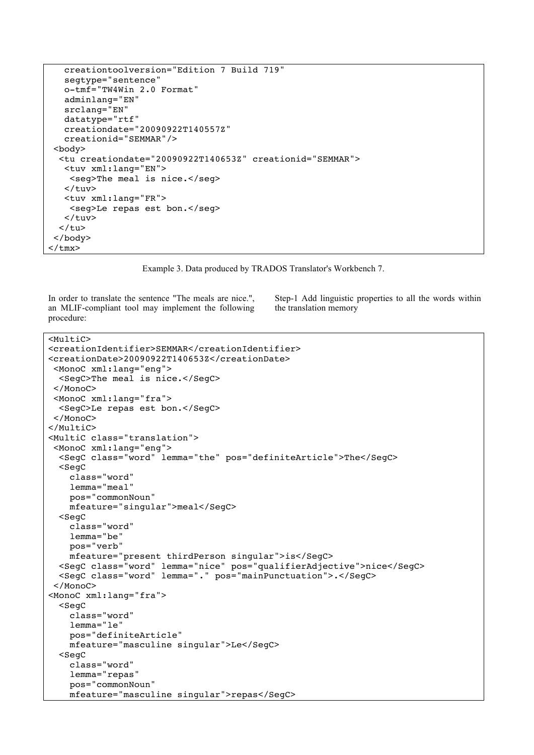```
 creationtoolversion="Edition 7 Build 719"
    segtype="sentence"
    o-tmf="TW4Win 2.0 Format"
    adminlang="EN"
    srclang="EN"
    datatype="rtf"
    creationdate="20090922T140557Z"
    creationid="SEMMAR"/>
 <body>
   <tu creationdate="20090922T140653Z" creationid="SEMMAR">
    <tuv xml:lang="EN">
     <seg>The meal is nice.</seg>
   \langletuv> <tuv xml:lang="FR">
     <seg>Le repas est bon.</seg>
   \langletuv>\langletu>
 </body>
</tmx>
```
Example 3. Data produced by TRADOS Translator's Workbench 7.

In order to translate the sentence "The meals are nice.", an MLIF-compliant tool may implement the following procedure:

Step-1 Add linguistic properties to all the words within the translation memory

```
<MultiC>
<creationIdentifier>SEMMAR</creationIdentifier> 
<creationDate>20090922T140653Z</creationDate>
 <MonoC xml:lang="eng">
   <SegC>The meal is nice.</SegC>
  </MonoC>
 <MonoC xml:lang="fra">
   <SegC>Le repas est bon.</SegC>
  </MonoC>
</MultiC>
<MultiC class="translation">
  <MonoC xml:lang="eng">
   <SegC class="word" lemma="the" pos="definiteArticle">The</SegC>
   <SegC
     class="word"
     lemma="meal"
     pos="commonNoun"
    mfeature="singular">meal</SegC>
   <SegC
     class="word"
     lemma="be"
     pos="verb"
     mfeature="present thirdPerson singular">is</SegC>
   <SegC class="word" lemma="nice" pos="qualifierAdjective">nice</SegC>
   <SegC class="word" lemma="." pos="mainPunctuation">.</SegC>
  </MonoC>
<MonoC xml:lang="fra">
   <SegC
     class="word"
     lemma="le"
     pos="definiteArticle"
     mfeature="masculine singular">Le</SegC>
   <SegC
     class="word"
     lemma="repas"
     pos="commonNoun"
     mfeature="masculine singular">repas</SegC>
```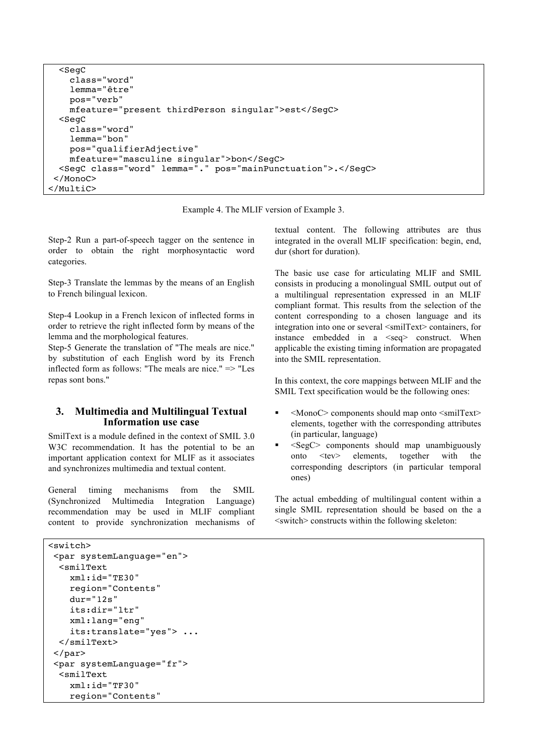```
 <SegC
     class="word"
     lemma="être"
     pos="verb"
     mfeature="present thirdPerson singular">est</SegC>
   <SegC
     class="word"
     lemma="bon"
     pos="qualifierAdjective"
     mfeature="masculine singular">bon</SegC>
   <SegC class="word" lemma="." pos="mainPunctuation">.</SegC>
</MonoC></MultiC>
```
Example 4. The MLIF version of Example 3.

Step-2 Run a part-of-speech tagger on the sentence in order to obtain the right morphosyntactic word categories.

Step-3 Translate the lemmas by the means of an English to French bilingual lexicon.

Step-4 Lookup in a French lexicon of inflected forms in order to retrieve the right inflected form by means of the lemma and the morphological features.

Step-5 Generate the translation of "The meals are nice." by substitution of each English word by its French inflected form as follows: "The meals are nice." => "Les repas sont bons."

# **3. Multimedia and Multilingual Textual Information use case**

SmilText is a module defined in the context of SMIL 3.0 W3C recommendation. It has the potential to be an important application context for MLIF as it associates and synchronizes multimedia and textual content.

General timing mechanisms from the SMIL (Synchronized Multimedia Integration Language) recommendation may be used in MLIF compliant content to provide synchronization mechanisms of textual content. The following attributes are thus integrated in the overall MLIF specification: begin, end, dur (short for duration).

The basic use case for articulating MLIF and SMIL consists in producing a monolingual SMIL output out of a multilingual representation expressed in an MLIF compliant format. This results from the selection of the content corresponding to a chosen language and its integration into one or several  $\leq$ smilText $\geq$ containers, for instance embedded in a <seq> construct. When applicable the existing timing information are propagated into the SMIL representation.

In this context, the core mappings between MLIF and the SMIL Text specification would be the following ones:

- <MonoC> components should map onto <smilText> elements, together with the corresponding attributes (in particular, language)
- $\blacktriangleright$  <SegC> components should map unambiguously onto <tev> elements, together with the corresponding descriptors (in particular temporal ones)

The actual embedding of multilingual content within a single SMIL representation should be based on the a <switch> constructs within the following skeleton:

```
<switch>
 <par systemLanguage="en">
   <smilText
     xml:id="TE30"
     region="Contents"
     dur="12s"
     its:dir="ltr"
     xml:lang="eng"
     its:translate="yes"> ...
   </smilText>
 </par>
 <par systemLanguage="fr">
   <smilText
     xml:id="TF30"
     region="Contents"
```